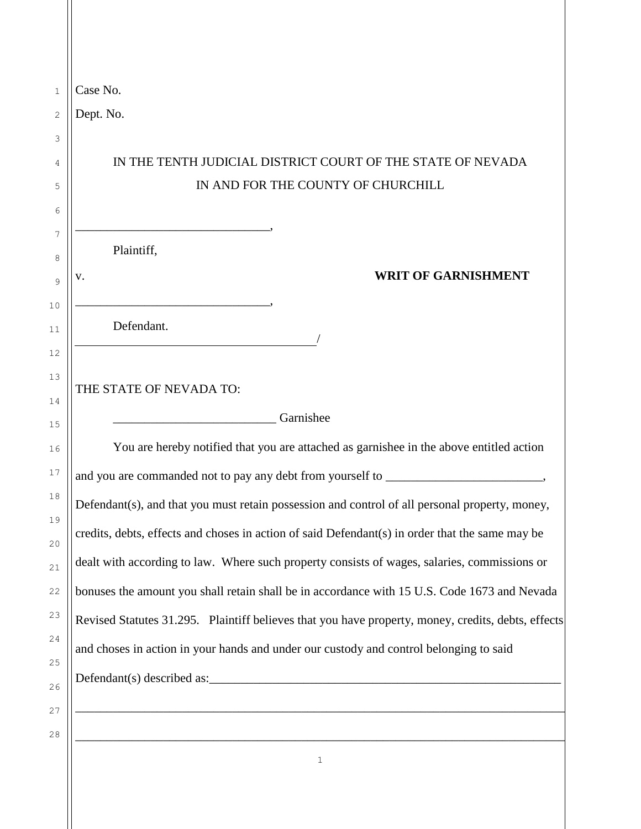| Case No.                                            |                                                                                                    |
|-----------------------------------------------------|----------------------------------------------------------------------------------------------------|
| Dept. No.                                           |                                                                                                    |
|                                                     |                                                                                                    |
|                                                     | IN THE TENTH JUDICIAL DISTRICT COURT OF THE STATE OF NEVADA                                        |
|                                                     | IN AND FOR THE COUNTY OF CHURCHILL                                                                 |
|                                                     |                                                                                                    |
| Plaintiff,                                          |                                                                                                    |
| v.                                                  | <b>WRIT OF GARNISHMENT</b>                                                                         |
|                                                     |                                                                                                    |
| Defendant.                                          |                                                                                                    |
|                                                     |                                                                                                    |
| THE STATE OF NEVADA TO:                             |                                                                                                    |
| <u> 1980 - Johann Barbara, martxa eta politikar</u> | Garnishee                                                                                          |
|                                                     | You are hereby notified that you are attached as garnishee in the above entitled action            |
|                                                     |                                                                                                    |
|                                                     | Defendant(s), and that you must retain possession and control of all personal property, money,     |
|                                                     | credits, debts, effects and choses in action of said Defendant(s) in order that the same may be    |
|                                                     | dealt with according to law. Where such property consists of wages, salaries, commissions or       |
|                                                     | bonuses the amount you shall retain shall be in accordance with 15 U.S. Code 1673 and Nevada       |
|                                                     | Revised Statutes 31.295. Plaintiff believes that you have property, money, credits, debts, effects |
|                                                     | and choses in action in your hands and under our custody and control belonging to said             |
|                                                     |                                                                                                    |
|                                                     |                                                                                                    |
|                                                     |                                                                                                    |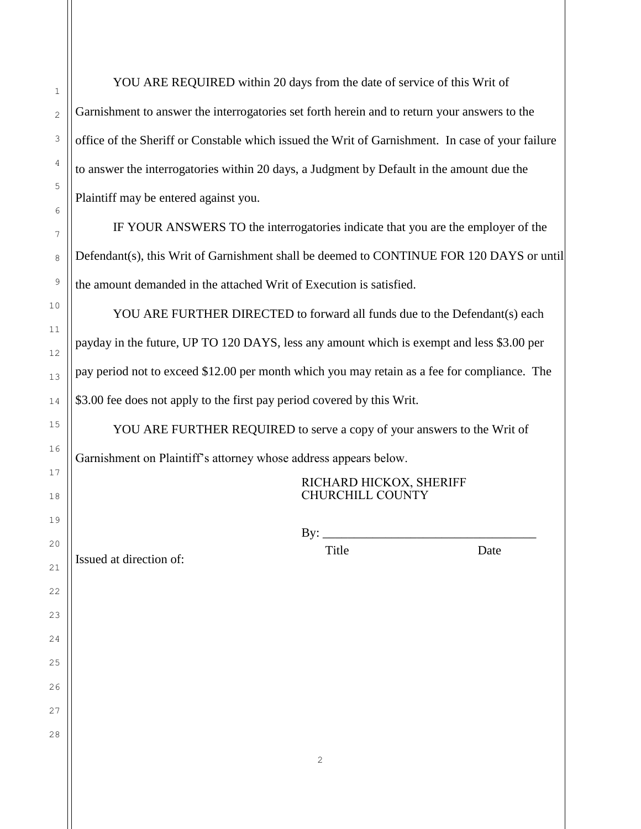YOU ARE REQUIRED within 20 days from the date of service of this Writ of Garnishment to answer the interrogatories set forth herein and to return your answers to the office of the Sheriff or Constable which issued the Writ of Garnishment. In case of your failure to answer the interrogatories within 20 days, a Judgment by Default in the amount due the Plaintiff may be entered against you.

IF YOUR ANSWERS TO the interrogatories indicate that you are the employer of the Defendant(s), this Writ of Garnishment shall be deemed to CONTINUE FOR 120 DAYS or until the amount demanded in the attached Writ of Execution is satisfied.

YOU ARE FURTHER DIRECTED to forward all funds due to the Defendant(s) each payday in the future, UP TO 120 DAYS, less any amount which is exempt and less \$3.00 per pay period not to exceed \$12.00 per month which you may retain as a fee for compliance. The \$3.00 fee does not apply to the first pay period covered by this Writ.

YOU ARE FURTHER REQUIRED to serve a copy of your answers to the Writ of Garnishment on Plaintiff's attorney whose address appears below.

> RICHARD HICKOX, SHERIFF CHURCHILL COUNTY

> > Title Date

By: \_\_\_\_\_\_\_\_\_\_\_\_\_\_\_\_\_\_\_\_\_\_\_\_\_\_\_\_\_\_\_\_\_\_

Issued at direction of: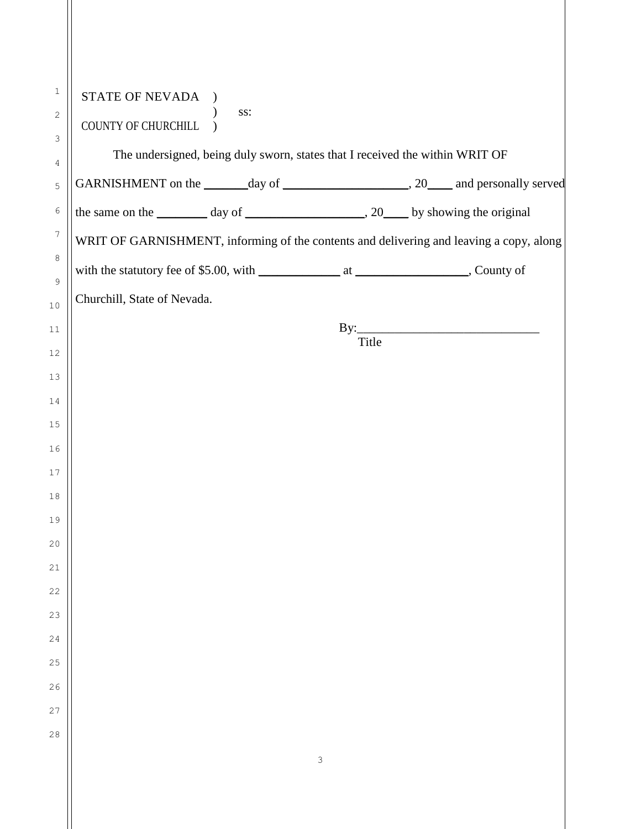| 1                | STATE OF NEVADA                                                                         |
|------------------|-----------------------------------------------------------------------------------------|
| $\mathbf{2}$     | SS:<br>COUNTY OF CHURCHILL                                                              |
| 3                | The undersigned, being duly sworn, states that I received the within WRIT OF            |
| 4<br>5           |                                                                                         |
| 6                |                                                                                         |
| $\boldsymbol{7}$ | WRIT OF GARNISHMENT, informing of the contents and delivering and leaving a copy, along |
| 8                |                                                                                         |
| 9                |                                                                                         |
| 10               | Churchill, State of Nevada.                                                             |
| 11               |                                                                                         |
| 12               | Title                                                                                   |
| 13               |                                                                                         |
| 14               |                                                                                         |
| 15               |                                                                                         |
| 16               |                                                                                         |
| 17               |                                                                                         |
| 18               |                                                                                         |
| 19               |                                                                                         |
| 20               |                                                                                         |
| 21               |                                                                                         |
| 22               |                                                                                         |
| 23               |                                                                                         |
| 24               |                                                                                         |
| 25               |                                                                                         |
| 26               |                                                                                         |
| 27               |                                                                                         |
| 28               |                                                                                         |
|                  | 3                                                                                       |
|                  |                                                                                         |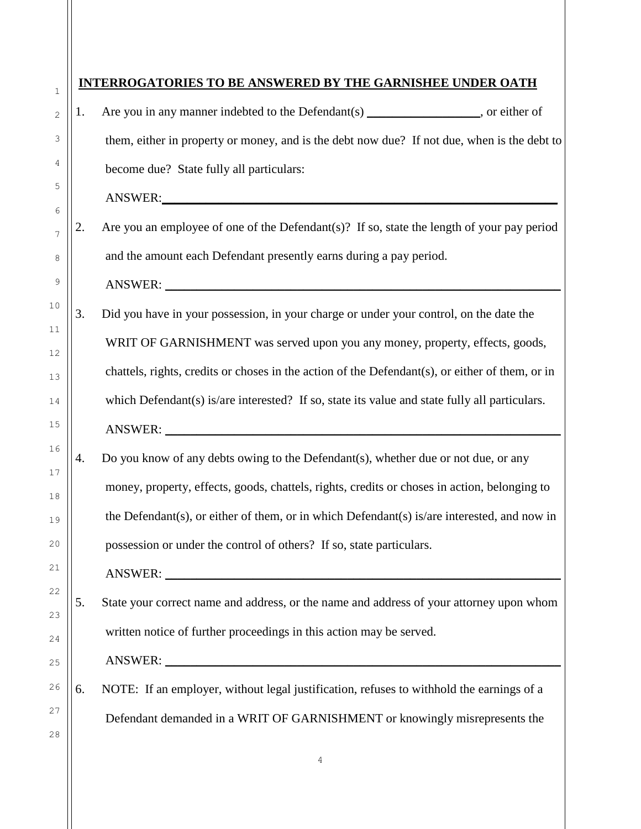| $\mathbf{1}$   | <b>INTERROGATORIES TO BE ANSWERED BY THE GARNISHEE UNDER OATH</b> |                                                                                                 |  |
|----------------|-------------------------------------------------------------------|-------------------------------------------------------------------------------------------------|--|
| $\overline{2}$ | 1.                                                                | Are you in any manner indebted to the Defendant(s) ______________, or either of                 |  |
| 3              |                                                                   | them, either in property or money, and is the debt now due? If not due, when is the debt to     |  |
| 4              |                                                                   | become due? State fully all particulars:                                                        |  |
| 5<br>6         |                                                                   |                                                                                                 |  |
| 7              | 2.                                                                | Are you an employee of one of the Defendant(s)? If so, state the length of your pay period      |  |
| 8              |                                                                   | and the amount each Defendant presently earns during a pay period.                              |  |
| 9              |                                                                   | ANSWER:                                                                                         |  |
| $10$           | 3.                                                                | Did you have in your possession, in your charge or under your control, on the date the          |  |
| $11\,$<br>12   |                                                                   | WRIT OF GARNISHMENT was served upon you any money, property, effects, goods,                    |  |
| 13             |                                                                   | chattels, rights, credits or choses in the action of the Defendant(s), or either of them, or in |  |
| 14             |                                                                   | which Defendant(s) is/are interested? If so, state its value and state fully all particulars.   |  |
| 15             |                                                                   |                                                                                                 |  |
| 16<br>17       | 4.                                                                | Do you know of any debts owing to the Defendant(s), whether due or not due, or any              |  |
| 18             |                                                                   | money, property, effects, goods, chattels, rights, credits or choses in action, belonging to    |  |
| 19             |                                                                   | the Defendant(s), or either of them, or in which Defendant(s) is/are interested, and now in     |  |
| 20             |                                                                   | possession or under the control of others? If so, state particulars.                            |  |
| 21             |                                                                   | ANSWER:                                                                                         |  |
| 22<br>23       | 5.                                                                | State your correct name and address, or the name and address of your attorney upon whom         |  |
| 24             |                                                                   | written notice of further proceedings in this action may be served.                             |  |
| 25             |                                                                   |                                                                                                 |  |
| 26             | 6.                                                                | NOTE: If an employer, without legal justification, refuses to withhold the earnings of a        |  |
| 27<br>28       |                                                                   | Defendant demanded in a WRIT OF GARNISHMENT or knowingly misrepresents the                      |  |
|                |                                                                   | 4                                                                                               |  |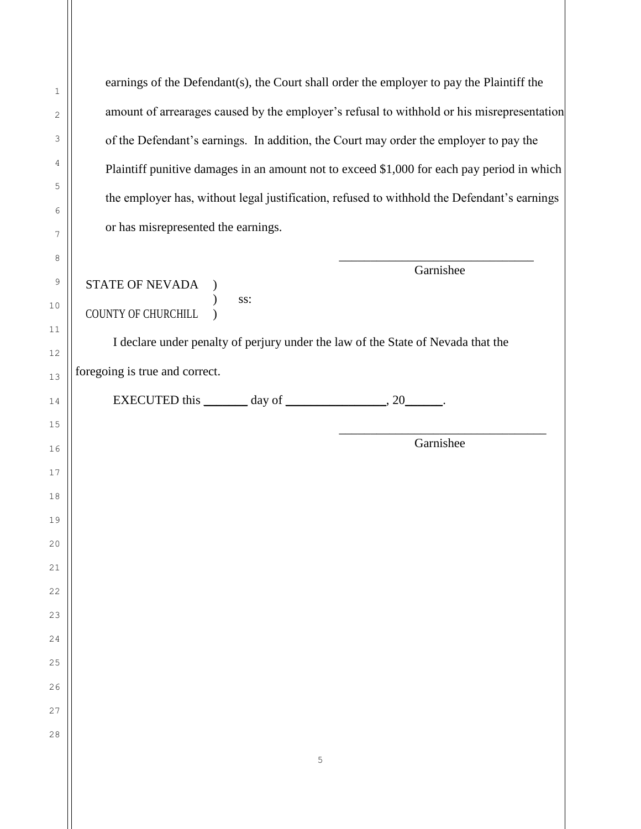earnings of the Defendant(s), the Court shall order the employer to pay the Plaintiff the amount of arrearages caused by the employer's refusal to withhold or his misrepresentation of the Defendant's earnings. In addition, the Court may order the employer to pay the Plaintiff punitive damages in an amount not to exceed \$1,000 for each pay period in which the employer has, without legal justification, refused to withhold the Defendant's earnings or has misrepresented the earnings. \_\_\_\_\_\_\_\_\_\_\_\_\_\_\_\_\_\_\_\_\_\_\_\_\_\_\_\_\_\_\_ Garnishee STATE OF NEVADA ) ) ss: COUNTY OF CHURCHILL )

I declare under penalty of perjury under the law of the State of Nevada that the

foregoing is true and correct.

| <b>EXECUTED</b> this | dav of |  |
|----------------------|--------|--|
|----------------------|--------|--|

\_\_\_\_\_\_\_\_\_\_\_\_\_\_\_\_\_\_\_\_\_\_\_\_\_\_\_\_\_\_\_\_\_ Garnishee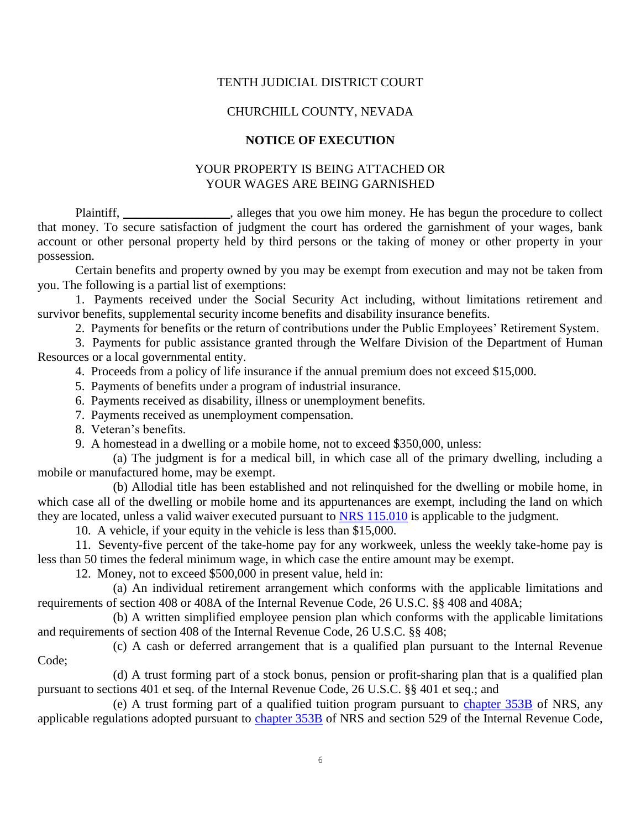### TENTH JUDICIAL DISTRICT COURT

### CHURCHILL COUNTY, NEVADA

## **NOTICE OF EXECUTION**

## YOUR PROPERTY IS BEING ATTACHED OR YOUR WAGES ARE BEING GARNISHED

Plaintiff, \_\_\_\_\_\_\_\_\_\_\_\_\_\_\_, alleges that you owe him money. He has begun the procedure to collect that money. To secure satisfaction of judgment the court has ordered the garnishment of your wages, bank account or other personal property held by third persons or the taking of money or other property in your possession.

Certain benefits and property owned by you may be exempt from execution and may not be taken from you. The following is a partial list of exemptions:

1. Payments received under the Social Security Act including, without limitations retirement and survivor benefits, supplemental security income benefits and disability insurance benefits.

2. Payments for benefits or the return of contributions under the Public Employees' Retirement System.

3. Payments for public assistance granted through the Welfare Division of the Department of Human Resources or a local governmental entity.

4. Proceeds from a policy of life insurance if the annual premium does not exceed \$15,000.

5. Payments of benefits under a program of industrial insurance.

6. Payments received as disability, illness or unemployment benefits.

7. Payments received as unemployment compensation.

8. Veteran's benefits.

9. A homestead in a dwelling or a mobile home, not to exceed \$350,000, unless:

 (a) The judgment is for a medical bill, in which case all of the primary dwelling, including a mobile or manufactured home, may be exempt.

 (b) Allodial title has been established and not relinquished for the dwelling or mobile home, in which case all of the dwelling or mobile home and its appurtenances are exempt, including the land on which they are located, unless a valid waiver executed pursuant to [NRS 115.010](http://www.leg.state.nv.us/NRS/NRS-115.html#NRS115Sec010) is applicable to the judgment.

10. A vehicle, if your equity in the vehicle is less than \$15,000.

11. Seventy-five percent of the take-home pay for any workweek, unless the weekly take-home pay is less than 50 times the federal minimum wage, in which case the entire amount may be exempt.

12. Money, not to exceed \$500,000 in present value, held in:

 (a) An individual retirement arrangement which conforms with the applicable limitations and requirements of section 408 or 408A of the Internal Revenue Code, 26 U.S.C. §§ 408 and 408A;

 (b) A written simplified employee pension plan which conforms with the applicable limitations and requirements of section 408 of the Internal Revenue Code, 26 U.S.C. §§ 408;

 (c) A cash or deferred arrangement that is a qualified plan pursuant to the Internal Revenue Code;

 (d) A trust forming part of a stock bonus, pension or profit-sharing plan that is a qualified plan pursuant to sections 401 et seq. of the Internal Revenue Code, 26 U.S.C. §§ 401 et seq.; and

 (e) A trust forming part of a qualified tuition program pursuant to [chapter 353B](http://www.leg.state.nv.us/NRS/NRS-353B.html#NRS353B) of NRS, any applicable regulations adopted pursuant to [chapter 353B](http://www.leg.state.nv.us/NRS/NRS-353B.html#NRS353B) of NRS and section 529 of the Internal Revenue Code,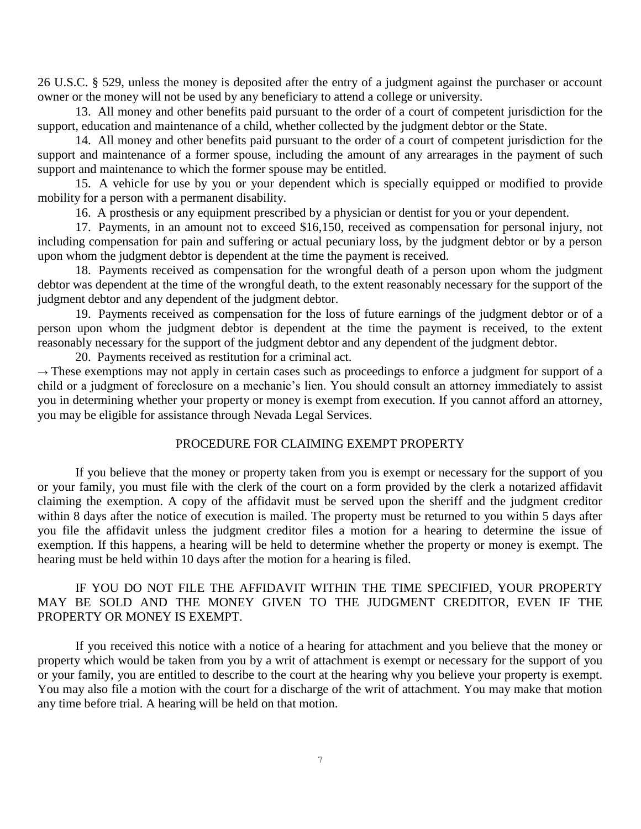26 U.S.C. § 529, unless the money is deposited after the entry of a judgment against the purchaser or account owner or the money will not be used by any beneficiary to attend a college or university.

13. All money and other benefits paid pursuant to the order of a court of competent jurisdiction for the support, education and maintenance of a child, whether collected by the judgment debtor or the State.

14. All money and other benefits paid pursuant to the order of a court of competent jurisdiction for the support and maintenance of a former spouse, including the amount of any arrearages in the payment of such support and maintenance to which the former spouse may be entitled.

 15. A vehicle for use by you or your dependent which is specially equipped or modified to provide mobility for a person with a permanent disability.

16. A prosthesis or any equipment prescribed by a physician or dentist for you or your dependent.

 17. Payments, in an amount not to exceed \$16,150, received as compensation for personal injury, not including compensation for pain and suffering or actual pecuniary loss, by the judgment debtor or by a person upon whom the judgment debtor is dependent at the time the payment is received.

 18. Payments received as compensation for the wrongful death of a person upon whom the judgment debtor was dependent at the time of the wrongful death, to the extent reasonably necessary for the support of the judgment debtor and any dependent of the judgment debtor.

 19. Payments received as compensation for the loss of future earnings of the judgment debtor or of a person upon whom the judgment debtor is dependent at the time the payment is received, to the extent reasonably necessary for the support of the judgment debtor and any dependent of the judgment debtor.

20. Payments received as restitution for a criminal act.

 $\rightarrow$  These exemptions may not apply in certain cases such as proceedings to enforce a judgment for support of a child or a judgment of foreclosure on a mechanic's lien. You should consult an attorney immediately to assist you in determining whether your property or money is exempt from execution. If you cannot afford an attorney, you may be eligible for assistance through Nevada Legal Services.

#### PROCEDURE FOR CLAIMING EXEMPT PROPERTY

 If you believe that the money or property taken from you is exempt or necessary for the support of you or your family, you must file with the clerk of the court on a form provided by the clerk a notarized affidavit claiming the exemption. A copy of the affidavit must be served upon the sheriff and the judgment creditor within 8 days after the notice of execution is mailed. The property must be returned to you within 5 days after you file the affidavit unless the judgment creditor files a motion for a hearing to determine the issue of exemption. If this happens, a hearing will be held to determine whether the property or money is exempt. The hearing must be held within 10 days after the motion for a hearing is filed.

## IF YOU DO NOT FILE THE AFFIDAVIT WITHIN THE TIME SPECIFIED, YOUR PROPERTY MAY BE SOLD AND THE MONEY GIVEN TO THE JUDGMENT CREDITOR, EVEN IF THE PROPERTY OR MONEY IS EXEMPT.

If you received this notice with a notice of a hearing for attachment and you believe that the money or property which would be taken from you by a writ of attachment is exempt or necessary for the support of you or your family, you are entitled to describe to the court at the hearing why you believe your property is exempt. You may also file a motion with the court for a discharge of the writ of attachment. You may make that motion any time before trial. A hearing will be held on that motion.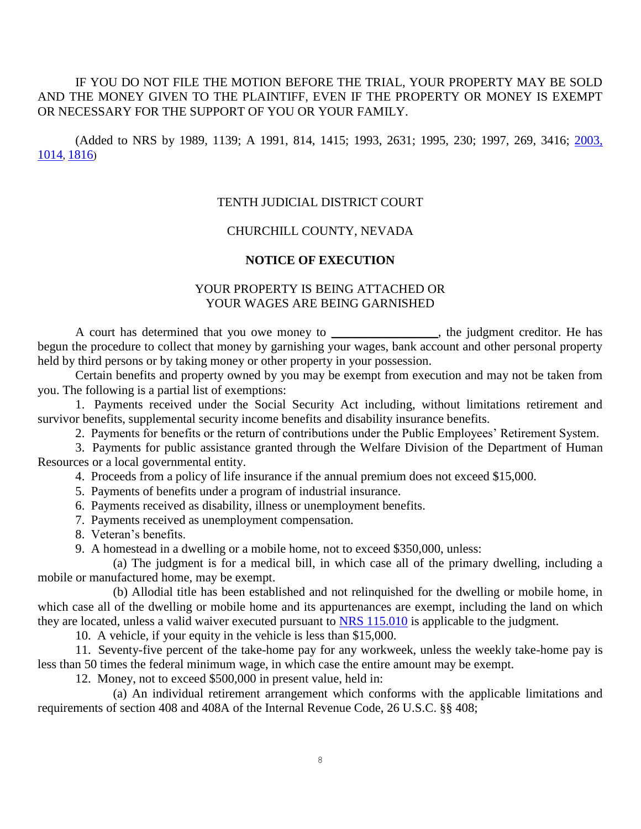# IF YOU DO NOT FILE THE MOTION BEFORE THE TRIAL, YOUR PROPERTY MAY BE SOLD AND THE MONEY GIVEN TO THE PLAINTIFF, EVEN IF THE PROPERTY OR MONEY IS EXEMPT OR NECESSARY FOR THE SUPPORT OF YOU OR YOUR FAMILY.

(Added to NRS by 1989, 1139; A 1991, 814, 1415; 1993, 2631; 1995, 230; 1997, 269, 3416; 2003, [1014](http://www.leg.state.nv.us/statutes/72nd/stats200308.html#Stats200308page1014), [1816](http://www.leg.state.nv.us/statutes/72nd/stats200314.html#Stats200314page1816))

#### TENTH JUDICIAL DISTRICT COURT

## CHURCHILL COUNTY, NEVADA

#### **NOTICE OF EXECUTION**

# YOUR PROPERTY IS BEING ATTACHED OR YOUR WAGES ARE BEING GARNISHED

A court has determined that you owe money to \_\_\_\_\_\_\_\_\_\_\_\_\_\_, the judgment creditor. He has begun the procedure to collect that money by garnishing your wages, bank account and other personal property held by third persons or by taking money or other property in your possession.

Certain benefits and property owned by you may be exempt from execution and may not be taken from you. The following is a partial list of exemptions:

 1. Payments received under the Social Security Act including, without limitations retirement and survivor benefits, supplemental security income benefits and disability insurance benefits.

2. Payments for benefits or the return of contributions under the Public Employees' Retirement System.

 3. Payments for public assistance granted through the Welfare Division of the Department of Human Resources or a local governmental entity.

4. Proceeds from a policy of life insurance if the annual premium does not exceed \$15,000.

5. Payments of benefits under a program of industrial insurance.

6. Payments received as disability, illness or unemployment benefits.

7. Payments received as unemployment compensation.

8. Veteran's benefits.

9. A homestead in a dwelling or a mobile home, not to exceed \$350,000, unless:

 (a) The judgment is for a medical bill, in which case all of the primary dwelling, including a mobile or manufactured home, may be exempt.

 (b) Allodial title has been established and not relinquished for the dwelling or mobile home, in which case all of the dwelling or mobile home and its appurtenances are exempt, including the land on which they are located, unless a valid waiver executed pursuant to [NRS 115.010](http://www.leg.state.nv.us/NRS/NRS-115.html#NRS115Sec010) is applicable to the judgment.

10. A vehicle, if your equity in the vehicle is less than \$15,000.

 11. Seventy-five percent of the take-home pay for any workweek, unless the weekly take-home pay is less than 50 times the federal minimum wage, in which case the entire amount may be exempt.

12. Money, not to exceed \$500,000 in present value, held in:

 (a) An individual retirement arrangement which conforms with the applicable limitations and requirements of section 408 and 408A of the Internal Revenue Code, 26 U.S.C. §§ 408;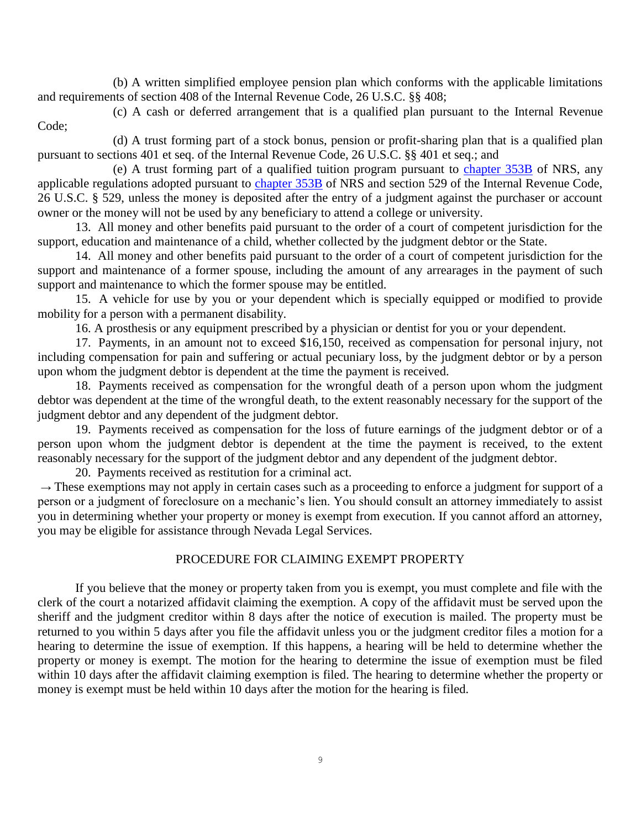(b) A written simplified employee pension plan which conforms with the applicable limitations and requirements of section 408 of the Internal Revenue Code, 26 U.S.C. §§ 408;

 (c) A cash or deferred arrangement that is a qualified plan pursuant to the Internal Revenue Code;

(d) A trust forming part of a stock bonus, pension or profit-sharing plan that is a qualified plan pursuant to sections 401 et seq. of the Internal Revenue Code, 26 U.S.C. §§ 401 et seq.; and

 (e) A trust forming part of a qualified tuition program pursuant to [chapter 353B](http://www.leg.state.nv.us/NRS/NRS-353B.html#NRS353B) of NRS, any applicable regulations adopted pursuant to [chapter 353B](http://www.leg.state.nv.us/NRS/NRS-353B.html#NRS353B) of NRS and section 529 of the Internal Revenue Code, 26 U.S.C. § 529, unless the money is deposited after the entry of a judgment against the purchaser or account owner or the money will not be used by any beneficiary to attend a college or university.

13. All money and other benefits paid pursuant to the order of a court of competent jurisdiction for the support, education and maintenance of a child, whether collected by the judgment debtor or the State.

 14. All money and other benefits paid pursuant to the order of a court of competent jurisdiction for the support and maintenance of a former spouse, including the amount of any arrearages in the payment of such support and maintenance to which the former spouse may be entitled.

 15. A vehicle for use by you or your dependent which is specially equipped or modified to provide mobility for a person with a permanent disability.

16. A prosthesis or any equipment prescribed by a physician or dentist for you or your dependent.

 17. Payments, in an amount not to exceed \$16,150, received as compensation for personal injury, not including compensation for pain and suffering or actual pecuniary loss, by the judgment debtor or by a person upon whom the judgment debtor is dependent at the time the payment is received.

 18. Payments received as compensation for the wrongful death of a person upon whom the judgment debtor was dependent at the time of the wrongful death, to the extent reasonably necessary for the support of the judgment debtor and any dependent of the judgment debtor.

 19. Payments received as compensation for the loss of future earnings of the judgment debtor or of a person upon whom the judgment debtor is dependent at the time the payment is received, to the extent reasonably necessary for the support of the judgment debtor and any dependent of the judgment debtor.

20. Payments received as restitution for a criminal act.

 $\rightarrow$  These exemptions may not apply in certain cases such as a proceeding to enforce a judgment for support of a person or a judgment of foreclosure on a mechanic's lien. You should consult an attorney immediately to assist you in determining whether your property or money is exempt from execution. If you cannot afford an attorney, you may be eligible for assistance through Nevada Legal Services.

## PROCEDURE FOR CLAIMING EXEMPT PROPERTY

If you believe that the money or property taken from you is exempt, you must complete and file with the clerk of the court a notarized affidavit claiming the exemption. A copy of the affidavit must be served upon the sheriff and the judgment creditor within 8 days after the notice of execution is mailed. The property must be returned to you within 5 days after you file the affidavit unless you or the judgment creditor files a motion for a hearing to determine the issue of exemption. If this happens, a hearing will be held to determine whether the property or money is exempt. The motion for the hearing to determine the issue of exemption must be filed within 10 days after the affidavit claiming exemption is filed. The hearing to determine whether the property or money is exempt must be held within 10 days after the motion for the hearing is filed.